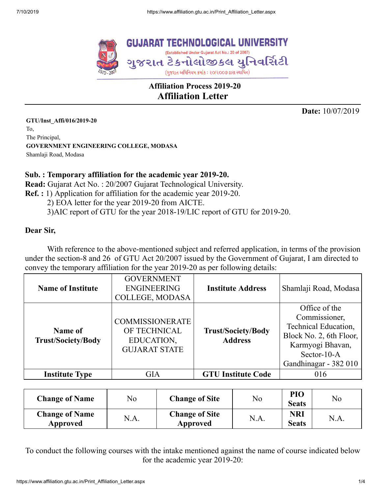

# **Affiliation Process 2019-20 Affiliation Letter**

**Date:** 10/07/2019

**GTU/Inst\_Affi/016/2019-20** To, The Principal, **GOVERNMENT ENGINEERING COLLEGE, MODASA** Shamlaji Road, Modasa

#### **Sub. : Temporary affiliation for the academic year 2019-20.**

**Read:** Gujarat Act No. : 20/2007 Gujarat Technological University.

**Ref. :** 1) Application for affiliation for the academic year 2019-20.

2) EOA letter for the year 2019-20 from AICTE.

3)AIC report of GTU for the year 2018-19/LIC report of GTU for 2019-20.

#### **Dear Sir,**

With reference to the above-mentioned subject and referred application, in terms of the provision under the section-8 and 26 of GTU Act 20/2007 issued by the Government of Gujarat, I am directed to convey the temporary affiliation for the year 2019-20 as per following details:

| <b>Name of Institute</b>             | <b>GOVERNMENT</b><br><b>ENGINEERING</b><br>COLLEGE, MODASA                   | <b>Institute Address</b>                    | Shamlaji Road, Modasa                                                                                                                         |
|--------------------------------------|------------------------------------------------------------------------------|---------------------------------------------|-----------------------------------------------------------------------------------------------------------------------------------------------|
| Name of<br><b>Trust/Society/Body</b> | <b>COMMISSIONERATE</b><br>OF TECHNICAL<br>EDUCATION,<br><b>GUJARAT STATE</b> | <b>Trust/Society/Body</b><br><b>Address</b> | Office of the<br>Commissioner,<br>Technical Education,<br>Block No. 2, 6th Floor,<br>Karmyogi Bhavan,<br>Sector-10-A<br>Gandhinagar - 382 010 |
| <b>Institute Type</b>                | <b>GIA</b>                                                                   | <b>GTU Institute Code</b>                   | 016                                                                                                                                           |

| <b>Change of Name</b>             | No   | <b>Change of Site</b>             | No   | PIO<br><b>Seats</b>        | N <sub>o</sub> |
|-----------------------------------|------|-----------------------------------|------|----------------------------|----------------|
| <b>Change of Name</b><br>Approved | N.A. | <b>Change of Site</b><br>Approved | N.A. | <b>NRI</b><br><b>Seats</b> | N.A.           |

To conduct the following courses with the intake mentioned against the name of course indicated below for the academic year 2019-20: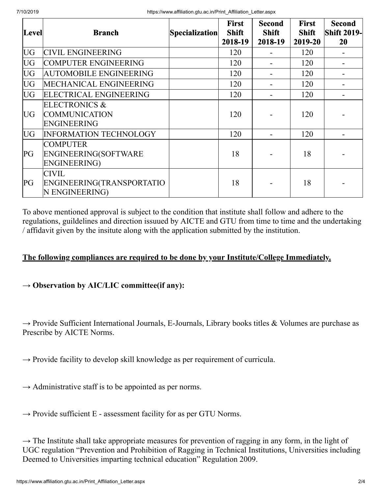| Level     | <b>Branch</b>                 | <b>Specialization</b> | <b>First</b><br><b>Shift</b> | <b>Second</b><br><b>Shift</b> | <b>First</b><br><b>Shift</b> | <b>Second</b><br><b>Shift 2019-</b> |
|-----------|-------------------------------|-----------------------|------------------------------|-------------------------------|------------------------------|-------------------------------------|
|           |                               |                       | 2018-19                      | 2018-19                       | 2019-20                      | <b>20</b>                           |
| <b>UG</b> | <b>CIVIL ENGINEERING</b>      |                       | 120                          |                               | 120                          |                                     |
| <b>UG</b> | <b>COMPUTER ENGINEERING</b>   |                       | 120                          |                               | 120                          |                                     |
| <b>UG</b> | <b>AUTOMOBILE ENGINEERING</b> |                       | 120                          |                               | 120                          |                                     |
| <b>UG</b> | MECHANICAL ENGINEERING        |                       | 120                          |                               | 120                          |                                     |
| UG        | ELECTRICAL ENGINEERING        |                       | 120                          |                               | 120                          |                                     |
|           | ELECTRONICS &                 |                       |                              |                               |                              |                                     |
| <b>UG</b> | <b>COMMUNICATION</b>          |                       | 120                          |                               | 120                          |                                     |
|           | <b>ENGINEERING</b>            |                       |                              |                               |                              |                                     |
| <b>UG</b> | <b>INFORMATION TECHNOLOGY</b> |                       | 120                          |                               | 120                          |                                     |
|           | <b>COMPUTER</b>               |                       |                              |                               |                              |                                     |
| PG        | ENGINEERING(SOFTWARE          |                       | 18                           |                               | 18                           |                                     |
|           | <b>ENGINEERING)</b>           |                       |                              |                               |                              |                                     |
|           | <b>CIVIL</b>                  |                       |                              |                               |                              |                                     |
| PG        | ENGINEERING(TRANSPORTATIO     |                       | 18                           |                               | 18                           |                                     |
|           | N ENGINEERING)                |                       |                              |                               |                              |                                     |

To above mentioned approval is subject to the condition that institute shall follow and adhere to the regulations, guildelines and direction issuued by AICTE and GTU from time to time and the undertaking / affidavit given by the insitute along with the application submitted by the institution.

## **The following compliances are required to be done by your Institute/College Immediately.**

## **→ Observation by AIC/LIC committee(if any):**

 $\rightarrow$  Provide Sufficient International Journals, E-Journals, Library books titles & Volumes are purchase as Prescribe by AICTE Norms.

 $\rightarrow$  Provide facility to develop skill knowledge as per requirement of curricula.

 $\rightarrow$  Administrative staff is to be appointed as per norms.

 $\rightarrow$  Provide sufficient E - assessment facility for as per GTU Norms.

 $\rightarrow$  The Institute shall take appropriate measures for prevention of ragging in any form, in the light of UGC regulation "Prevention and Prohibition of Ragging in Technical Institutions, Universities including Deemed to Universities imparting technical education" Regulation 2009.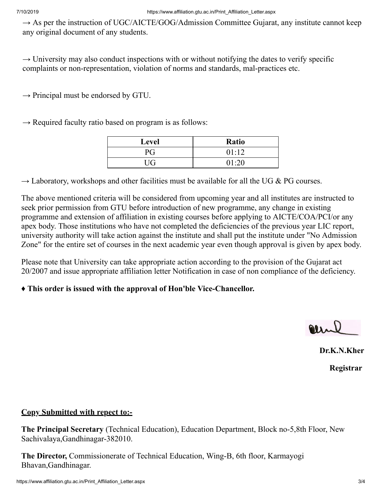$\rightarrow$  As per the instruction of UGC/AICTE/GOG/Admission Committee Gujarat, any institute cannot keep any original document of any students.

 $\rightarrow$  University may also conduct inspections with or without notifying the dates to verify specific complaints or non-representation, violation of norms and standards, mal-practices etc.

 $\rightarrow$  Principal must be endorsed by GTU.

 $\rightarrow$  Required faculty ratio based on program is as follows:

| Level | <b>Ratio</b> |
|-------|--------------|
| РG    | 01:12        |
| UG    | 01:20        |

 $\rightarrow$  Laboratory, workshops and other facilities must be available for all the UG & PG courses.

The above mentioned criteria will be considered from upcoming year and all institutes are instructed to seek prior permission from GTU before introduction of new programme, any change in existing programme and extension of affiliation in existing courses before applying to AICTE/COA/PCI/or any apex body. Those institutions who have not completed the deficiencies of the previous year LIC report, university authority will take action against the institute and shall put the institute under "No Admission Zone" for the entire set of courses in the next academic year even though approval is given by apex body.

Please note that University can take appropriate action according to the provision of the Gujarat act 20/2007 and issue appropriate affiliation letter Notification in case of non compliance of the deficiency.

## **♦ This order is issued with the approval of Hon'ble Vice-Chancellor.**

alle

**Dr.K.N.Kher**

**Registrar**

#### **Copy Submitted with repect to:-**

**The Principal Secretary** (Technical Education), Education Department, Block no-5,8th Floor, New Sachivalaya,Gandhinagar-382010.

**The Director,** Commissionerate of Technical Education, Wing-B, 6th floor, Karmayogi Bhavan,Gandhinagar.